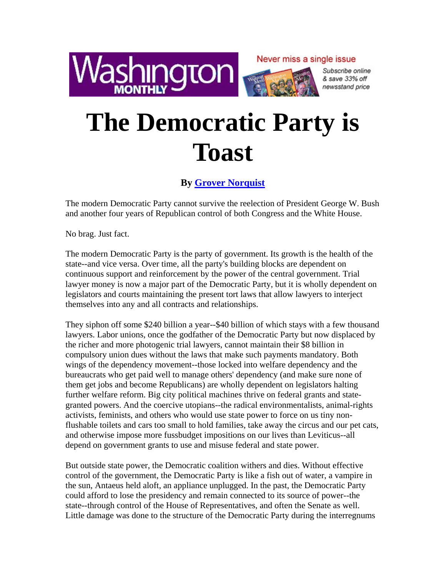

Never miss a single issue



Subscribe online & save 33% off newsstand price

## **The Democratic Party is Toast**

## **By Grover Norquist**

The modern Democratic Party cannot survive the reelection of President George W. Bush and another four years of Republican control of both Congress and the White House.

No brag. Just fact.

The modern Democratic Party is the party of government. Its growth is the health of the state--and vice versa. Over time, all the party's building blocks are dependent on continuous support and reinforcement by the power of the central government. Trial lawyer money is now a major part of the Democratic Party, but it is wholly dependent on legislators and courts maintaining the present tort laws that allow lawyers to interject themselves into any and all contracts and relationships.

They siphon off some \$240 billion a year--\$40 billion of which stays with a few thousand lawyers. Labor unions, once the godfather of the Democratic Party but now displaced by the richer and more photogenic trial lawyers, cannot maintain their \$8 billion in compulsory union dues without the laws that make such payments mandatory. Both wings of the dependency movement--those locked into welfare dependency and the bureaucrats who get paid well to manage others' dependency (and make sure none of them get jobs and become Republicans) are wholly dependent on legislators halting further welfare reform. Big city political machines thrive on federal grants and stategranted powers. And the coercive utopians--the radical environmentalists, animal-rights activists, feminists, and others who would use state power to force on us tiny nonflushable toilets and cars too small to hold families, take away the circus and our pet cats, and otherwise impose more fussbudget impositions on our lives than Leviticus--all depend on government grants to use and misuse federal and state power.

But outside state power, the Democratic coalition withers and dies. Without effective control of the government, the Democratic Party is like a fish out of water, a vampire in the sun, Antaeus held aloft, an appliance unplugged. In the past, the Democratic Party could afford to lose the presidency and remain connected to its source of power--the state--through control of the House of Representatives, and often the Senate as well. Little damage was done to the structure of the Democratic Party during the interregnums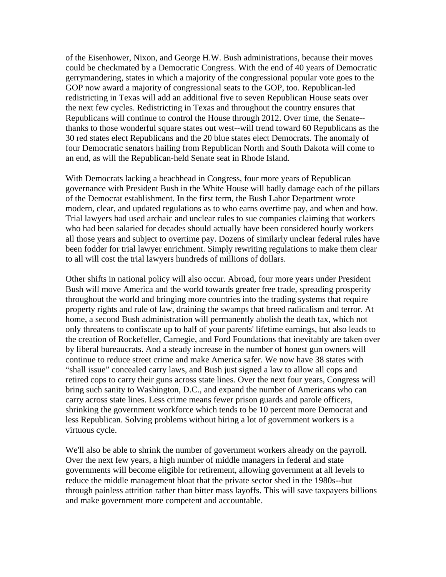of the Eisenhower, Nixon, and George H.W. Bush administrations, because their moves could be checkmated by a Democratic Congress. With the end of 40 years of Democratic gerrymandering, states in which a majority of the congressional popular vote goes to the GOP now award a majority of congressional seats to the GOP, too. Republican-led redistricting in Texas will add an additional five to seven Republican House seats over the next few cycles. Redistricting in Texas and throughout the country ensures that Republicans will continue to control the House through 2012. Over time, the Senate- thanks to those wonderful square states out west--will trend toward 60 Republicans as the 30 red states elect Republicans and the 20 blue states elect Democrats. The anomaly of four Democratic senators hailing from Republican North and South Dakota will come to an end, as will the Republican-held Senate seat in Rhode Island.

With Democrats lacking a beachhead in Congress, four more years of Republican governance with President Bush in the White House will badly damage each of the pillars of the Democrat establishment. In the first term, the Bush Labor Department wrote modern, clear, and updated regulations as to who earns overtime pay, and when and how. Trial lawyers had used archaic and unclear rules to sue companies claiming that workers who had been salaried for decades should actually have been considered hourly workers all those years and subject to overtime pay. Dozens of similarly unclear federal rules have been fodder for trial lawyer enrichment. Simply rewriting regulations to make them clear to all will cost the trial lawyers hundreds of millions of dollars.

Other shifts in national policy will also occur. Abroad, four more years under President Bush will move America and the world towards greater free trade, spreading prosperity throughout the world and bringing more countries into the trading systems that require property rights and rule of law, draining the swamps that breed radicalism and terror. At home, a second Bush administration will permanently abolish the death tax, which not only threatens to confiscate up to half of your parents' lifetime earnings, but also leads to the creation of Rockefeller, Carnegie, and Ford Foundations that inevitably are taken over by liberal bureaucrats. And a steady increase in the number of honest gun owners will continue to reduce street crime and make America safer. We now have 38 states with "shall issue" concealed carry laws, and Bush just signed a law to allow all cops and retired cops to carry their guns across state lines. Over the next four years, Congress will bring such sanity to Washington, D.C., and expand the number of Americans who can carry across state lines. Less crime means fewer prison guards and parole officers, shrinking the government workforce which tends to be 10 percent more Democrat and less Republican. Solving problems without hiring a lot of government workers is a virtuous cycle.

We'll also be able to shrink the number of government workers already on the payroll. Over the next few years, a high number of middle managers in federal and state governments will become eligible for retirement, allowing government at all levels to reduce the middle management bloat that the private sector shed in the 1980s--but through painless attrition rather than bitter mass layoffs. This will save taxpayers billions and make government more competent and accountable.